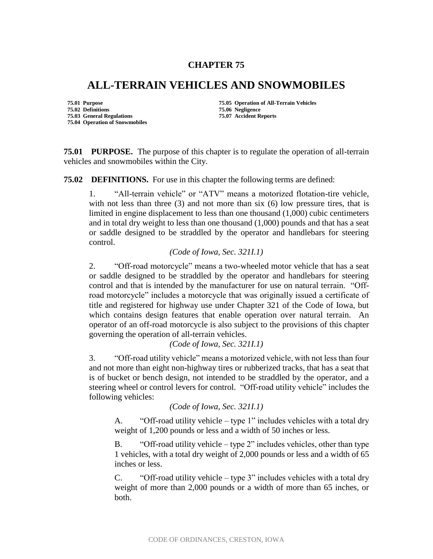## **CHAPTER 75**

## **ALL-TERRAIN VEHICLES AND SNOWMOBILES**

**75.02 Definitions 75.06 Negligence 75.03 General Regulations 75.04 Operation of Snowmobiles**

**75.01 Purpose 75.05 Operation of All-Terrain Vehicles**

**75.01 PURPOSE.** The purpose of this chapter is to regulate the operation of all-terrain vehicles and snowmobiles within the City.

**75.02 DEFINITIONS.** For use in this chapter the following terms are defined:

1. "All-terrain vehicle" or "ATV" means a motorized flotation-tire vehicle, with not less than three  $(3)$  and not more than six  $(6)$  low pressure tires, that is limited in engine displacement to less than one thousand (1,000) cubic centimeters and in total dry weight to less than one thousand (1,000) pounds and that has a seat or saddle designed to be straddled by the operator and handlebars for steering control.

## *(Code of Iowa, Sec. 321I.1)*

2. "Off-road motorcycle" means a two-wheeled motor vehicle that has a seat or saddle designed to be straddled by the operator and handlebars for steering control and that is intended by the manufacturer for use on natural terrain. "Offroad motorcycle" includes a motorcycle that was originally issued a certificate of title and registered for highway use under Chapter 321 of the Code of Iowa, but which contains design features that enable operation over natural terrain. An operator of an off-road motorcycle is also subject to the provisions of this chapter governing the operation of all-terrain vehicles.

*(Code of Iowa, Sec. 321I.1)*

3. "Off-road utility vehicle" means a motorized vehicle, with not less than four and not more than eight non-highway tires or rubberized tracks, that has a seat that is of bucket or bench design, not intended to be straddled by the operator, and a steering wheel or control levers for control. "Off-road utility vehicle" includes the following vehicles:

*(Code of Iowa, Sec. 321I.1)*

A. "Off-road utility vehicle – type 1" includes vehicles with a total dry weight of 1,200 pounds or less and a width of 50 inches or less.

B. "Off-road utility vehicle – type 2" includes vehicles, other than type 1 vehicles, with a total dry weight of 2,000 pounds or less and a width of 65 inches or less.

C. "Off-road utility vehicle – type 3" includes vehicles with a total dry weight of more than 2,000 pounds or a width of more than 65 inches, or both.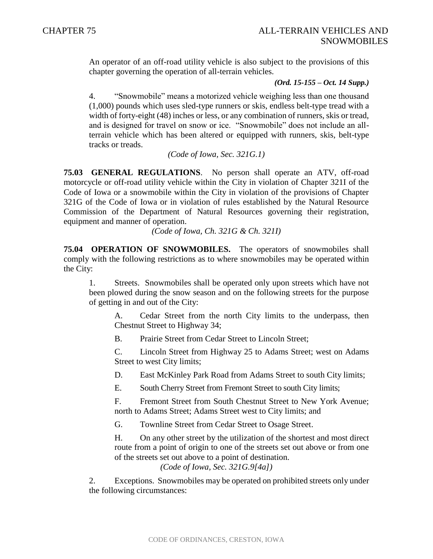An operator of an off-road utility vehicle is also subject to the provisions of this chapter governing the operation of all-terrain vehicles.

## *(Ord. 15-155 – Oct. 14 Supp.)*

4. "Snowmobile" means a motorized vehicle weighing less than one thousand (1,000) pounds which uses sled-type runners or skis, endless belt-type tread with a width of forty-eight (48) inches or less, or any combination of runners, skis or tread, and is designed for travel on snow or ice. "Snowmobile" does not include an allterrain vehicle which has been altered or equipped with runners, skis, belt-type tracks or treads.

*(Code of Iowa, Sec. 321G.1)*

**75.03 GENERAL REGULATIONS**. No person shall operate an ATV, off-road motorcycle or off-road utility vehicle within the City in violation of Chapter 321I of the Code of Iowa or a snowmobile within the City in violation of the provisions of Chapter 321G of the Code of Iowa or in violation of rules established by the Natural Resource Commission of the Department of Natural Resources governing their registration, equipment and manner of operation.

*(Code of Iowa, Ch. 321G & Ch. 321I)*

**75.04 OPERATION OF SNOWMOBILES.** The operators of snowmobiles shall comply with the following restrictions as to where snowmobiles may be operated within the City:

1. Streets. Snowmobiles shall be operated only upon streets which have not been plowed during the snow season and on the following streets for the purpose of getting in and out of the City:

A. Cedar Street from the north City limits to the underpass, then Chestnut Street to Highway 34;

B. Prairie Street from Cedar Street to Lincoln Street;

C. Lincoln Street from Highway 25 to Adams Street; west on Adams Street to west City limits;

D. East McKinley Park Road from Adams Street to south City limits;

E. South Cherry Street from Fremont Street to south City limits;

F. Fremont Street from South Chestnut Street to New York Avenue; north to Adams Street; Adams Street west to City limits; and

G. Townline Street from Cedar Street to Osage Street.

H. On any other street by the utilization of the shortest and most direct route from a point of origin to one of the streets set out above or from one of the streets set out above to a point of destination.

*(Code of Iowa, Sec. 321G.9[4a])*

2. Exceptions. Snowmobiles may be operated on prohibited streets only under the following circumstances: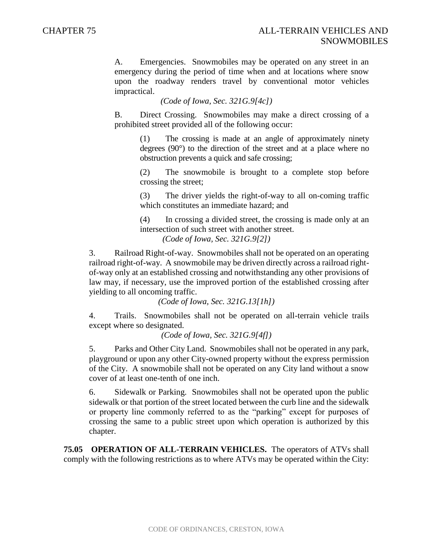A. Emergencies. Snowmobiles may be operated on any street in an emergency during the period of time when and at locations where snow upon the roadway renders travel by conventional motor vehicles impractical.

*(Code of Iowa, Sec. 321G.9[4c])*

B. Direct Crossing. Snowmobiles may make a direct crossing of a prohibited street provided all of the following occur:

(1) The crossing is made at an angle of approximately ninety degrees (90°) to the direction of the street and at a place where no obstruction prevents a quick and safe crossing;

(2) The snowmobile is brought to a complete stop before crossing the street;

(3) The driver yields the right-of-way to all on-coming traffic which constitutes an immediate hazard; and

(4) In crossing a divided street, the crossing is made only at an intersection of such street with another street.

*(Code of Iowa, Sec. 321G.9[2])*

3. Railroad Right-of-way. Snowmobiles shall not be operated on an operating railroad right-of-way. A snowmobile may be driven directly across a railroad rightof-way only at an established crossing and notwithstanding any other provisions of law may, if necessary, use the improved portion of the established crossing after yielding to all oncoming traffic.

*(Code of Iowa, Sec. 321G.13[1h])*

4. Trails. Snowmobiles shall not be operated on all-terrain vehicle trails except where so designated.

*(Code of Iowa, Sec. 321G.9[4f])*

5. Parks and Other City Land. Snowmobiles shall not be operated in any park, playground or upon any other City-owned property without the express permission of the City. A snowmobile shall not be operated on any City land without a snow cover of at least one-tenth of one inch.

6. Sidewalk or Parking. Snowmobiles shall not be operated upon the public sidewalk or that portion of the street located between the curb line and the sidewalk or property line commonly referred to as the "parking" except for purposes of crossing the same to a public street upon which operation is authorized by this chapter.

**75.05 OPERATION OF ALL-TERRAIN VEHICLES.** The operators of ATVs shall comply with the following restrictions as to where ATVs may be operated within the City: